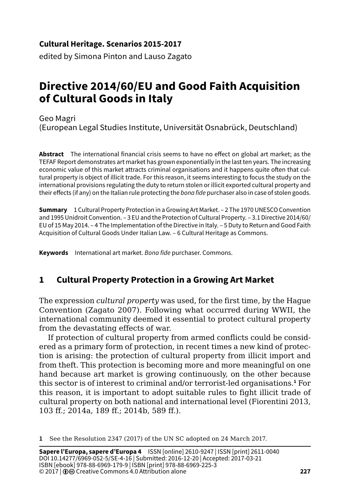### **Cultural Heritage. Scenarios 2015-2017**

edited by Simona Pinton and Lauso Zagato

# **Directive 2014/60/EU and Good Faith Acquisition of Cultural Goods in Italy**

Geo Magri (European Legal Studies Institute, Universität Osnabrück, Deutschland)

**Abstract** The international financial crisis seems to have no effect on global art market; as the TEFAF Report demonstrates art market has grown exponentially in the last ten years. The increasing economic value of this market attracts criminal organisations and it happens quite often that cultural property is object of illicit trade. For this reason, it seems interesting to focus the study on the international provisions regulating the duty to return stolen or illicit exported cultural property and their effects (if any) on the Italian rule protecting the *bona fide* purchaser also in case of stolen goods.

**Summary** 1 Cultural Property Protection in a Growing Art Market. – 2 The 1970 UNESCO Convention and 1995 Unidroit Convention. – 3 EU and the Protection of Cultural Property. – 3.1 Directive 2014/60/ EU of 15 May 2014. – 4 The Implementation of the Directive in Italy. – 5 Duty to Return and Good Faith Acquisition of Cultural Goods Under Italian Law. – 6 Cultural Heritage as Commons.

**Keywords** International art market. *Bona fide* purchaser. Commons.

## **1 Cultural Property Protection in a Growing Art Market**

The expression *cultural property* was used, for the first time, by the Hague Convention (Zagato 2007). Following what occurred during WWII, the international community deemed it essential to protect cultural property from the devastating effects of war.

If protection of cultural property from armed conflicts could be considered as a primary form of protection, in recent times a new kind of protection is arising: the protection of cultural property from illicit import and from theft. This protection is becoming more and more meaningful on one hand because art market is growing continuously, on the other because this sector is of interest to criminal and/or terrorist-led organisations.**<sup>1</sup>** For this reason, it is important to adopt suitable rules to fight illicit trade of cultural property on both national and international level (Fiorentini 2013, 103 ff.; 2014a, 189 ff.; 2014b, 589 ff.).

**1** See the Resolution 2347 (2017) of the UN SC adopted on 24 March 2017.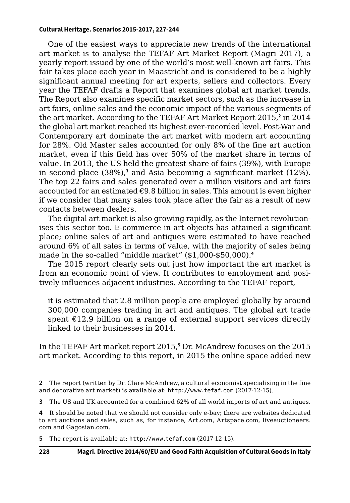One of the easiest ways to appreciate new trends of the international art market is to analyse the TEFAF Art Market Report (Magri 2017), a yearly report issued by one of the world's most well-known art fairs. This fair takes place each year in Maastricht and is considered to be a highly significant annual meeting for art experts, sellers and collectors. Every year the TEFAF drafts a Report that examines global art market trends. The Report also examines specific market sectors, such as the increase in art fairs, online sales and the economic impact of the various segments of the art market. According to the TEFAF Art Market Report 2015,**<sup>2</sup>** in 2014 the global art market reached its highest ever-recorded level. Post-War and Contemporary art dominate the art market with modern art accounting for 28%. Old Master sales accounted for only 8% of the fine art auction market, even if this field has over 50% of the market share in terms of value. In 2013, the US held the greatest share of fairs (39%), with Europe in second place (38%),**<sup>3</sup>** and Asia becoming a significant market (12%). The top 22 fairs and sales generated over a million visitors and art fairs accounted for an estimated  $\epsilon$ 9.8 billion in sales. This amount is even higher if we consider that many sales took place after the fair as a result of new contacts between dealers.

The digital art market is also growing rapidly, as the Internet revolutionises this sector too. E-commerce in art objects has attained a significant place; online sales of art and antiques were estimated to have reached around 6% of all sales in terms of value, with the majority of sales being made in the so-called "middle market" (\$1,000-\$50,000).**<sup>4</sup>**

The 2015 report clearly sets out just how important the art market is from an economic point of view. It contributes to employment and positively influences adjacent industries. According to the TEFAF report,

it is estimated that 2.8 million people are employed globally by around 300,000 companies trading in art and antiques. The global art trade spent  $£12.9$  billion on a range of external support services directly linked to their businesses in 2014.

In the TEFAF Art market report 2015,**<sup>5</sup>** Dr. McAndrew focuses on the 2015 art market. According to this report, in 2015 the online space added new

**5** The report is available at: http://www.tefaf.com (2017-12-15).

**<sup>2</sup>** The report (written by Dr. Clare McAndrew, a cultural economist specialising in the fine and decorative art market) is available at: <http://www.tefaf.com> (2017-12-15).

**<sup>3</sup>** The US and UK accounted for a combined 62% of all world imports of art and antiques.

**<sup>4</sup>** It should be noted that we should not consider only e-bay; there are websites dedicated to art auctions and sales, such as, for instance, Art.com, Artspace.com, liveauctioneers. com and Gagosian.com.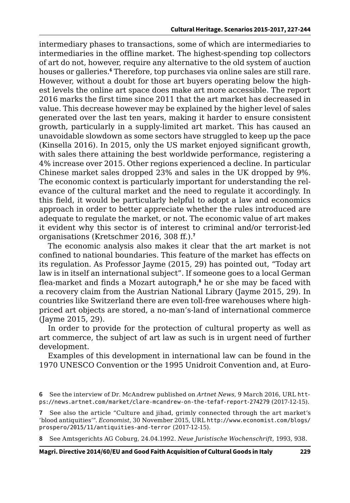intermediary phases to transactions, some of which are intermediaries to intermediaries in the offline market. The highest-spending top collectors of art do not, however, require any alternative to the old system of auction houses or galleries.**<sup>6</sup>** Therefore, top purchases via online sales are still rare. However, without a doubt for those art buyers operating below the highest levels the online art space does make art more accessible. The report 2016 marks the first time since 2011 that the art market has decreased in value. This decrease however may be explained by the higher level of sales generated over the last ten years, making it harder to ensure consistent growth, particularly in a supply-limited art market. This has caused an unavoidable slowdown as some sectors have struggled to keep up the pace (Kinsella 2016). In 2015, only the US market enjoyed significant growth, with sales there attaining the best worldwide performance, registering a 4% increase over 2015. Other regions experienced a decline. In particular Chinese market sales dropped 23% and sales in the UK dropped by 9%. The economic context is particularly important for understanding the relevance of the cultural market and the need to regulate it accordingly. In this field, it would be particularly helpful to adopt a law and economics approach in order to better appreciate whether the rules introduced are adequate to regulate the market, or not. The economic value of art makes it evident why this sector is of interest to criminal and/or terrorist-led organisations (Kretschmer 2016, 308 ff.).**<sup>7</sup>**

The economic analysis also makes it clear that the art market is not confined to national boundaries. This feature of the market has effects on its regulation. As Professor Jayme (2015, 29) has pointed out, "Today art law is in itself an international subject". If someone goes to a local German flea-market and finds a Mozart autograph,**<sup>8</sup>** he or she may be faced with a recovery claim from the Austrian National Library (Jayme 2015, 29). In countries like Switzerland there are even toll-free warehouses where highpriced art objects are stored, a no-man's-land of international commerce (Jayme 2015, 29).

In order to provide for the protection of cultural property as well as art commerce, the subject of art law as such is in urgent need of further development.

Examples of this development in international law can be found in the 1970 UNESCO Convention or the 1995 Unidroit Convention and, at Euro-

**8** See Amtsgerichts AG Coburg, 24.04.1992. *Neue Juristische Wochenschrift*, 1993, 938.

**<sup>6</sup>** See the interview of Dr. McAndrew published on *Artnet News*, 9 March 2016, URL [htt](https://news.artnet.com/market/clare-mcandrew-on-the-tefaf-report-274279)[ps://news.artnet.com/market/clare-mcandrew-on-the-tefaf-report-274279](https://news.artnet.com/market/clare-mcandrew-on-the-tefaf-report-274279) (2017-12-15).

**<sup>7</sup>** See also the article "Culture and jihad, grimly connected through the art market's 'blood antiquities'". *Economist*, 30 November 2015, URL [http://www.economist.com/blogs/](http://www.economist.com/blogs/prospero/2015/11/antiquities-and-terror) [prospero/2015/11/antiquities-and-terror](http://www.economist.com/blogs/prospero/2015/11/antiquities-and-terror) (2017-12-15).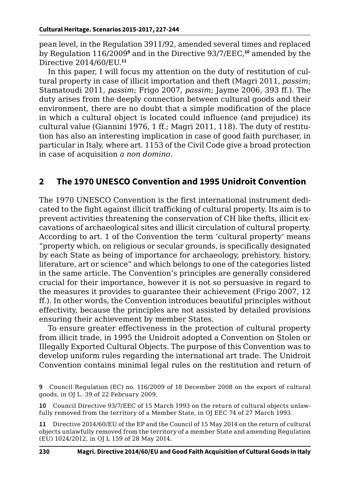pean level, in the Regulation 3911/92, amended several times and replaced by Regulation 116/2009° and in the Directive 93/7/EEC,<sup>10</sup> amended by the Directive 2014/60/EU.**<sup>11</sup>**

In this paper, I will focus my attention on the duty of restitution of cultural property in case of illicit importation and theft (Magri 2011, *passim*; Stamatoudi 2011, *passim*; Frigo 2007, *passim*; Jayme 2006, 393 ff.). The duty arises from the deeply connection between cultural goods and their environment, there are no doubt that a simple modification of the place in which a cultural object is located could influence (and prejudice) its cultural value (Giannini 1976, 1 ff.; Magri 2011, 118). The duty of restitution has also an interesting implication in case of good faith purchaser, in particular in Italy, where art. 1153 of the Civil Code give a broad protection in case of acquisition *a non domino*.

## **2 The 1970 UNESCO Convention and 1995 Unidroit Convention**

The 1970 UNESCO Convention is the first international instrument dedicated to the fight against illicit trafficking of cultural property. Its aim is to prevent activities threatening the conservation of CH like thefts, illicit excavations of archaeological sites and illicit circulation of cultural property. According to art. 1 of the Convention the term 'cultural property' means "property which, on religious or secular grounds, is specifically designated by each State as being of importance for archaeology, prehistory, history, literature, art or science" and which belongs to one of the categories listed in the same article. The Convention's principles are generally considered crucial for their importance, however it is not so persuasive in regard to the measures it provides to guarantee their achievement (Frigo 2007, 12 ff.). In other words, the Convention introduces beautiful principles without effectivity, because the principles are not assisted by detailed provisions ensuring their achievement by member States.

To ensure greater effectiveness in the protection of cultural property from illicit trade, in 1995 the Unidroit adopted a Convention on Stolen or Illegally Exported Cultural Objects. The purpose of this Convention was to develop uniform rules regarding the international art trade. The Unidroit Convention contains minimal legal rules on the restitution and return of

**9** Council Regulation (EC) no. 116/2009 of 18 December 2008 on the export of cultural goods, in OJ L. 39 of 22 February 2009.

**10** Council Directive 93/7/EEC of 15 March 1993 on the return of cultural objects unlawfully removed from the territory of a Member State, in OJ EEC 74 of 27 March 1993.

**11** Directive 2014/60/EU of the EP and the Council of 15 May 2014 on the return of cultural objects unlawfully removed from the territory of a member State and amending Regulation (EU) 1024/2012, in OJ L 159 of 28 May 2014.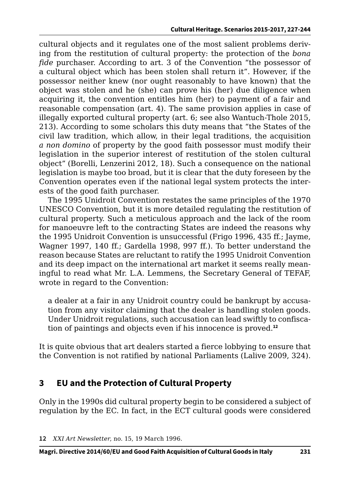cultural objects and it regulates one of the most salient problems deriving from the restitution of cultural property: the protection of the *bona fide* purchaser. According to art. 3 of the Convention "the possessor of a cultural object which has been stolen shall return it". However, if the possessor neither knew (nor ought reasonably to have known) that the object was stolen and he (she) can prove his (her) due diligence when acquiring it, the convention entitles him (her) to payment of a fair and reasonable compensation (art. 4). The same provision applies in case of illegally exported cultural property (art. 6; see also Wantuch-Thole 2015, 213). According to some scholars this duty means that "the States of the civil law tradition, which allow, in their legal traditions, the acquisition *a non domino* of property by the good faith possessor must modify their legislation in the superior interest of restitution of the stolen cultural object" (Borelli, Lenzerini 2012, 18). Such a consequence on the national legislation is maybe too broad, but it is clear that the duty foreseen by the Convention operates even if the national legal system protects the interests of the good faith purchaser.

The 1995 Unidroit Convention restates the same principles of the 1970 UNESCO Convention, but it is more detailed regulating the restitution of cultural property. Such a meticulous approach and the lack of the room for manoeuvre left to the contracting States are indeed the reasons why the 1995 Unidroit Convention is unsuccessful (Frigo 1996, 435 ff.; Jayme, Wagner 1997, 140 ff.; Gardella 1998, 997 ff.). To better understand the reason because States are reluctant to ratify the 1995 Unidroit Convention and its deep impact on the international art market it seems really meaningful to read what Mr. L.A. Lemmens, the Secretary General of TEFAF, wrote in regard to the Convention:

a dealer at a fair in any Unidroit country could be bankrupt by accusation from any visitor claiming that the dealer is handling stolen goods. Under Unidroit regulations, such accusation can lead swiftly to confiscation of paintings and objects even if his innocence is proved.**<sup>12</sup>**

It is quite obvious that art dealers started a fierce lobbying to ensure that the Convention is not ratified by national Parliaments (Lalive 2009, 324).

## **3 EU and the Protection of Cultural Property**

Only in the 1990s did cultural property begin to be considered a subject of regulation by the EC. In fact, in the ECT cultural goods were considered

**<sup>12</sup>** *XXI Art Newsletter*, no. 15, 19 March 1996.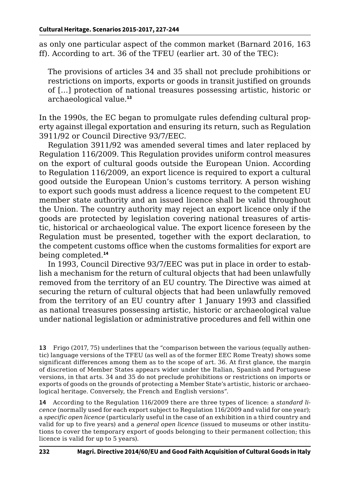as only one particular aspect of the common market (Barnard 2016, 163 ff). According to art. 36 of the TFEU (earlier art. 30 of the TEC):

The provisions of articles 34 and 35 shall not preclude prohibitions or restrictions on imports, exports or goods in transit justified on grounds of […] protection of national treasures possessing artistic, historic or archaeological value.**<sup>13</sup>**

In the 1990s, the EC began to promulgate rules defending cultural property against illegal exportation and ensuring its return, such as Regulation 3911/92 or Council Directive 93/7/EEC.

Regulation 3911/92 was amended several times and later replaced by Regulation 116/2009. This Regulation provides uniform control measures on the export of cultural goods outside the European Union. According to Regulation 116/2009, an export licence is required to export a cultural good outside the European Union's customs territory. A person wishing to export such goods must address a licence request to the competent EU member state authority and an issued licence shall be valid throughout the Union. The country authority may reject an export licence only if the goods are protected by legislation covering national treasures of artistic, historical or archaeological value. The export licence foreseen by the Regulation must be presented, together with the export declaration, to the competent customs office when the customs formalities for export are being completed.**<sup>14</sup>**

In 1993, Council Directive 93/7/EEC was put in place in order to establish a mechanism for the return of cultural objects that had been unlawfully removed from the territory of an EU country. The Directive was aimed at securing the return of cultural objects that had been unlawfully removed from the territory of an EU country after 1 January 1993 and classified as national treasures possessing artistic, historic or archaeological value under national legislation or administrative procedures and fell within one

**13** Frigo (2017, 75) underlines that the "comparison between the various (equally authentic) language versions of the TFEU (as well as of the former EEC Rome Treaty) shows some significant differences among them as to the scope of art. 36. At first glance, the margin of discretion of Member States appears wider under the Italian, Spanish and Portuguese versions, in that arts. 34 and 35 do not preclude prohibitions or restrictions on imports or exports of goods on the grounds of protecting a Member State's artistic, historic or archaeological heritage. Conversely, the French and English versions".

**14** According to the Regulation 116/2009 there are three types of licence: a *standard licence* (normally used for each export subject to Regulation 116/2009 and valid for one year); a *specific open licence* (particularly useful in the case of an exhibition in a third country and valid for up to five years) and a *general open licence* (issued to museums or other institutions to cover the temporary export of goods belonging to their permanent collection; this licence is valid for up to 5 years).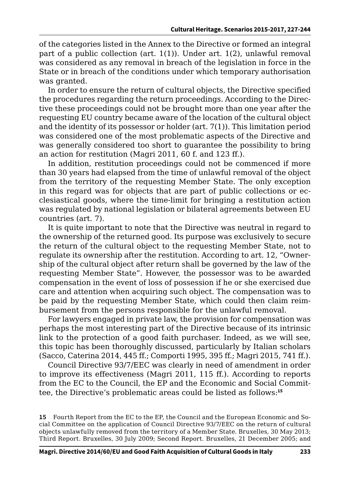of the categories listed in the Annex to the Directive or formed an integral part of a public collection (art. 1(1)). Under art. 1(2), unlawful removal was considered as any removal in breach of the legislation in force in the State or in breach of the conditions under which temporary authorisation was granted.

In order to ensure the return of cultural objects, the Directive specified the procedures regarding the return proceedings. According to the Directive these proceedings could not be brought more than one year after the requesting EU country became aware of the location of the cultural object and the identity of its possessor or holder (art. 7(1)). This limitation period was considered one of the most problematic aspects of the Directive and was generally considered too short to guarantee the possibility to bring an action for restitution (Magri 2011, 60 f. and 123 ff.).

In addition, restitution proceedings could not be commenced if more than 30 years had elapsed from the time of unlawful removal of the object from the territory of the requesting Member State. The only exception in this regard was for objects that are part of public collections or ecclesiastical goods, where the time-limit for bringing a restitution action was regulated by national legislation or bilateral agreements between EU countries (art. 7).

It is quite important to note that the Directive was neutral in regard to the ownership of the returned good. Its purpose was exclusively to secure the return of the cultural object to the requesting Member State, not to regulate its ownership after the restitution. According to art. 12, "Ownership of the cultural object after return shall be governed by the law of the requesting Member State". However, the possessor was to be awarded compensation in the event of loss of possession if he or she exercised due care and attention when acquiring such object. The compensation was to be paid by the requesting Member State, which could then claim reimbursement from the persons responsible for the unlawful removal.

For lawyers engaged in private law, the provision for compensation was perhaps the most interesting part of the Directive because of its intrinsic link to the protection of a good faith purchaser. Indeed, as we will see, this topic has been thoroughly discussed, particularly by Italian scholars (Sacco, Caterina 2014, 445 ff.; Comporti 1995, 395 ff.; Magri 2015, 741 ff.).

Council Directive 93/7/EEC was clearly in need of amendment in order to improve its effectiveness (Magri 2011, 115 ff.). According to reports from the EC to the Council, the EP and the Economic and Social Committee, the Directive's problematic areas could be listed as follows:**<sup>15</sup>**

**15** Fourth Report from the EC to the EP, the Council and the European Economic and Social Committee on the application of Council Directive 93/7/EEC on the return of cultural objects unlawfully removed from the territory of a Member State. Bruxelles, 30 May 2013; Third Report. Bruxelles, 30 July 2009; Second Report. Bruxelles, 21 December 2005; and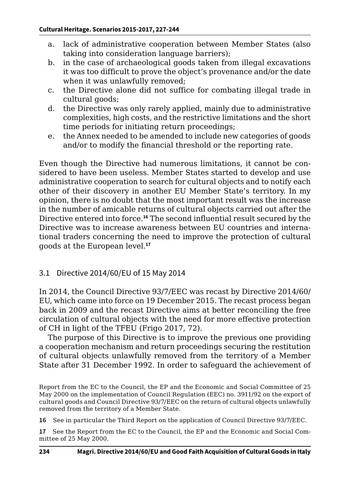- a. lack of administrative cooperation between Member States (also taking into consideration language barriers);
- b. in the case of archaeological goods taken from illegal excavations it was too difficult to prove the object's provenance and/or the date when it was unlawfully removed;
- c. the Directive alone did not suffice for combating illegal trade in cultural goods;
- d. the Directive was only rarely applied, mainly due to administrative complexities, high costs, and the restrictive limitations and the short time periods for initiating return proceedings;
- e. the Annex needed to be amended to include new categories of goods and/or to modify the financial threshold or the reporting rate.

Even though the Directive had numerous limitations, it cannot be considered to have been useless. Member States started to develop and use administrative cooperation to search for cultural objects and to notify each other of their discovery in another EU Member State's territory. In my opinion, there is no doubt that the most important result was the increase in the number of amicable returns of cultural objects carried out after the Directive entered into force.**<sup>16</sup>** The second influential result secured by the Directive was to increase awareness between EU countries and international traders concerning the need to improve the protection of cultural goods at the European level.**<sup>17</sup>**

#### 3.1 Directive 2014/60/EU of 15 May 2014

In 2014, the Council Directive 93/7/EEC was recast by Directive 2014/60/ EU, which came into force on 19 December 2015. The recast process began back in 2009 and the recast Directive aims at better reconciling the free circulation of cultural objects with the need for more effective protection of CH in light of the TFEU (Frigo 2017, 72).

The purpose of this Directive is to improve the previous one providing a cooperation mechanism and return proceedings securing the restitution of cultural objects unlawfully removed from the territory of a Member State after 31 December 1992. In order to safeguard the achievement of

Report from the EC to the Council, the EP and the Economic and Social Committee of 25 May 2000 on the implementation of Council Regulation (EEC) no. 3911/92 on the export of cultural goods and Council Directive 93/7/EEC on the return of cultural objects unlawfully removed from the territory of a Member State.

**16** See in particular the Third Report on the application of Council Directive 93/7/EEC.

**17** See the Report from the EC to the Council, the EP and the Economic and Social Committee of 25 May 2000.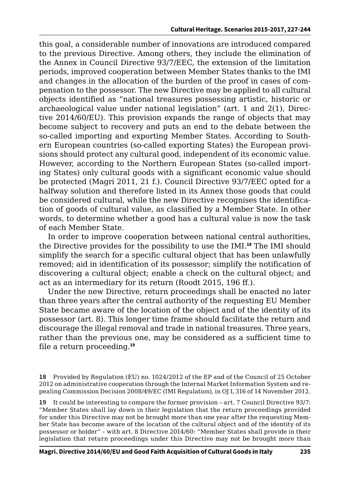this goal, a considerable number of innovations are introduced compared to the previous Directive. Among others, they include the elimination of the Annex in Council Directive 93/7/EEC, the extension of the limitation periods, improved cooperation between Member States thanks to the IMI and changes in the allocation of the burden of the proof in cases of compensation to the possessor. The new Directive may be applied to all cultural objects identified as "national treasures possessing artistic, historic or archaeological value under national legislation" (art. 1 and 2(1), Directive 2014/60/EU). This provision expands the range of objects that may become subject to recovery and puts an end to the debate between the so-called importing and exporting Member States. According to Southern European countries (so-called exporting States) the European provisions should protect any cultural good, independent of its economic value. However, according to the Northern European States (so-called importing States) only cultural goods with a significant economic value should be protected (Magri 2011, 21 f.). Council Directive 93/7/EEC opted for a halfway solution and therefore listed in its Annex those goods that could be considered cultural, while the new Directive recognises the identification of goods of cultural value, as classified by a Member State. In other words, to determine whether a good has a cultural value is now the task of each Member State.

In order to improve cooperation between national central authorities, the Directive provides for the possibility to use the IMI.**<sup>18</sup>** The IMI should simplify the search for a specific cultural object that has been unlawfully removed; aid in identification of its possessor; simplify the notification of discovering a cultural object; enable a check on the cultural object; and act as an intermediary for its return (Roodt 2015, 196 ff.).

Under the new Directive, return proceedings shall be enacted no later than three years after the central authority of the requesting EU Member State became aware of the location of the object and of the identity of its possessor (art. 8). This longer time frame should facilitate the return and discourage the illegal removal and trade in national treasures. Three years, rather than the previous one, may be considered as a sufficient time to file a return proceeding.**<sup>19</sup>**

**19** It could be interesting to compare the former provision – art. 7 Council Directive 93/7: "Member States shall lay down in their legislation that the return proceedings provided for under this Directive may not be brought more than one year after the requesting Member State has become aware of the location of the cultural object and of the identity of its possessor or holder" – with art. 8 Directive 2014/60: "Member States shall provide in their legislation that return proceedings under this Directive may not be brought more than

**<sup>18</sup>** Provided by Regulation (EU) no. 1024/2012 of the EP and of the Council of 25 October 2012 on administrative cooperation through the Internal Market Information System and repealing Commission Decision 2008/49/EC (IMI Regulation), in OJ L 316 of 14 November 2012.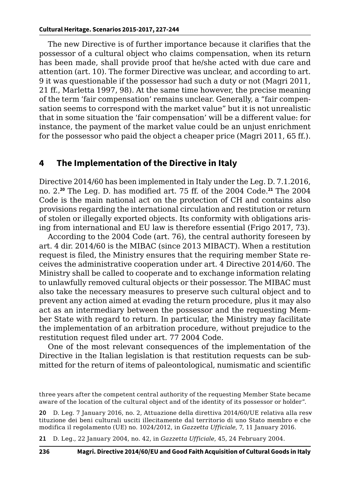The new Directive is of further importance because it clarifies that the possessor of a cultural object who claims compensation, when its return has been made, shall provide proof that he/she acted with due care and attention (art. 10). The former Directive was unclear, and according to art. 9 it was questionable if the possessor had such a duty or not (Magri 2011, 21 ff., Marletta 1997, 98). At the same time however, the precise meaning of the term 'fair compensation' remains unclear. Generally, a "fair compensation seems to correspond with the market value" but it is not unrealistic that in some situation the 'fair compensation' will be a different value: for instance, the payment of the market value could be an unjust enrichment for the possessor who paid the object a cheaper price (Magri 2011, 65 ff.).

#### **4 The Implementation of the Directive in Italy**

Directive 2014/60 has been implemented in Italy under the Leg. D. 7.1.2016, no. 2.**<sup>20</sup>** The Leg. D. has modified art. 75 ff. of the 2004 Code.**<sup>21</sup>** The 2004 Code is the main national act on the protection of CH and contains also provisions regarding the international circulation and restitution or return of stolen or illegally exported objects. Its conformity with obligations arising from international and EU law is therefore essential (Frigo 2017, 73).

According to the 2004 Code (art. 76), the central authority foreseen by art. 4 dir. 2014/60 is the MIBAC (since 2013 MIBACT). When a restitution request is filed, the Ministry ensures that the requiring member State receives the administrative cooperation under art. 4 Directive 2014/60. The Ministry shall be called to cooperate and to exchange information relating to unlawfully removed cultural objects or their possessor. The MIBAC must also take the necessary measures to preserve such cultural object and to prevent any action aimed at evading the return procedure, plus it may also act as an intermediary between the possessor and the requesting Member State with regard to return. In particular, the Ministry may facilitate the implementation of an arbitration procedure, without prejudice to the restitution request filed under art. 77 2004 Code.

One of the most relevant consequences of the implementation of the Directive in the Italian legislation is that restitution requests can be submitted for the return of items of paleontological, numismatic and scientific

**20** D. Leg. 7 January 2016, no. 2, Attuazione della direttiva 2014/60/UE relativa alla resvtituzione dei beni culturali usciti illecitamente dal territorio di uno Stato membro e che modifica il regolamento (UE) no. 1024/2012, in *Gazzetta Ufficiale*, 7, 11 January 2016.

**21** D. Leg., 22 January 2004, no. 42, in *Gazzetta Ufficiale*, 45, 24 February 2004.

three years after the competent central authority of the requesting Member State became aware of the location of the cultural object and of the identity of its possessor or holder".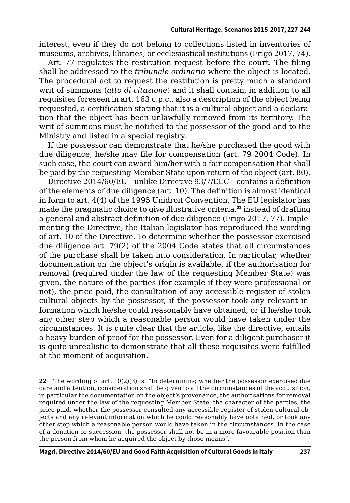interest, even if they do not belong to collections listed in inventories of museums, archives, libraries, or ecclesiastical institutions (Frigo 2017, 74).

Art. 77 regulates the restitution request before the court. The filing shall be addressed to the *tribunale ordinario* where the object is located. The procedural act to request the restitution is pretty much a standard writ of summons (*atto di citazione*) and it shall contain, in addition to all requisites foreseen in art. 163 c.p.c., also a description of the object being requested, a certification stating that it is a cultural object and a declaration that the object has been unlawfully removed from its territory. The writ of summons must be notified to the possessor of the good and to the Ministry and listed in a special registry.

If the possessor can demonstrate that he/she purchased the good with due diligence, he/she may file for compensation (art. 79 2004 Code). In such case, the court can award him/her with a fair compensation that shall be paid by the requesting Member State upon return of the object (art. 80).

Directive 2014/60/EU – unlike Directive 93/7/EEC – contains a definition of the elements of due diligence (art. 10). The definition is almost identical in form to art. 4(4) of the 1995 Unidroit Convention. The EU legislator has made the pragmatic choice to give illustrative criteria,<sup>22</sup> instead of drafting a general and abstract definition of due diligence (Frigo 2017, 77). Implementing the Directive, the Italian legislator has reproduced the wording of art. 10 of the Directive. To determine whether the possessor exercised due diligence art. 79(2) of the 2004 Code states that all circumstances of the purchase shall be taken into consideration. In particular, whether documentation on the object's origin is available, if the authorisation for removal (required under the law of the requesting Member State) was given, the nature of the parties (for example if they were professional or not), the price paid, the consultation of any accessible register of stolen cultural objects by the possessor, if the possessor took any relevant information which he/she could reasonably have obtained, or if he/she took any other step which a reasonable person would have taken under the circumstances. It is quite clear that the article, like the directive, entails a heavy burden of proof for the possessor. Even for a diligent purchaser it is quite unrealistic to demonstrate that all these requisites were fulfilled at the moment of acquisition.

**22** The wording of art. 10(2)(3) is: "In determining whether the possessor exercised due care and attention, consideration shall be given to all the circumstances of the acquisition, in particular the documentation on the object's provenance, the authorisations for removal required under the law of the requesting Member State, the character of the parties, the price paid, whether the possessor consulted any accessible register of stolen cultural objects and any relevant information which he could reasonably have obtained, or took any other step which a reasonable person would have taken in the circumstances. In the case of a donation or succession, the possessor shall not be in a more favourable position than the person from whom he acquired the object by those means".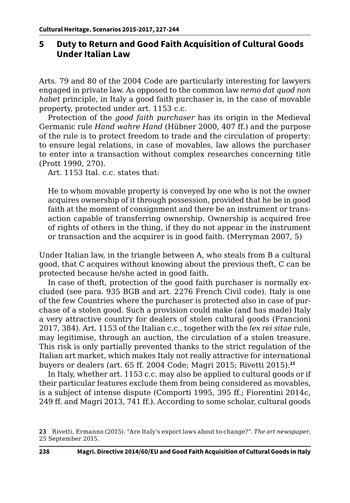## **5 Duty to Return and Good Faith Acquisition of Cultural Goods Under Italian Law**

Arts. 79 and 80 of the 2004 Code are particularly interesting for lawyers engaged in private law. As opposed to the common law *nemo dat quod non habet* principle, in Italy a good faith purchaser is, in the case of movable property, protected under art. 1153 c.c.

Protection of the *good faith purchaser* has its origin in the Medieval Germanic rule *Hand wahre Hand* (Hübner 2000, 407 ff.) and the purpose of the rule is to protect freedom to trade and the circulation of property: to ensure legal relations, in case of movables, law allows the purchaser to enter into a transaction without complex researches concerning title (Prott 1990, 270).

Art. 1153 Ital. c.c. states that:

He to whom movable property is conveyed by one who is not the owner acquires ownership of it through possession, provided that he be in good faith at the moment of consignment and there be an instrument or transaction capable of transferring ownership. Ownership is acquired free of rights of others in the thing, if they do not appear in the instrument or transaction and the acquirer is in good faith. (Merryman 2007, 5)

Under Italian law, in the triangle between A, who steals from B a cultural good, that C acquires without knowing about the previous theft, C can be protected because he/she acted in good faith.

In case of theft, protection of the good faith purchaser is normally excluded (see para. 935 BGB and art. 2276 French Civil code). Italy is one of the few Countries where the purchaser is protected also in case of purchase of a stolen good. Such a provision could make (and has made) Italy a very attractive country for dealers of stolen cultural goods (Francioni 2017, 384). Art. 1153 of the Italian c.c., together with the *lex rei sitae* rule, may legitimise, through an auction, the circulation of a stolen treasure. This risk is only partially prevented thanks to the strict regulation of the Italian art market, which makes Italy not really attractive for international buyers or dealers (art. 65 ff. 2004 Code; Magri 2015; Rivetti 2015).**<sup>23</sup>**

In Italy, whether art. 1153 c.c. may also be applied to cultural goods or if their particular features exclude them from being considered as movables, is a subject of intense dispute (Comporti 1995, 395 ff.; Fiorentini 2014c, 249 ff. and Magri 2013, 741 ff.). According to some scholar, cultural goods

**<sup>23</sup>** Rivetti, Ermanno (2015). "Are Italy's export laws about to change?". *The art newspaper*, 25 September 2015.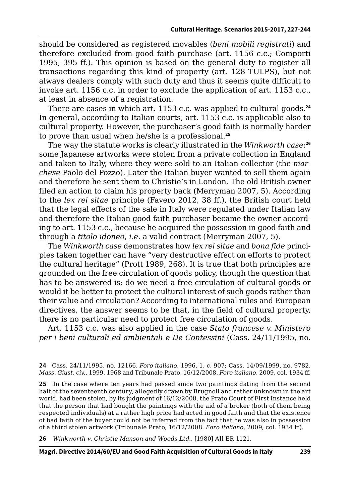should be considered as registered movables (*beni mobili registrati*) and therefore excluded from good faith purchase (art. 1156 c.c.; Comporti 1995, 395 ff.). This opinion is based on the general duty to register all transactions regarding this kind of property (art. 128 TULPS), but not always dealers comply with such duty and thus it seems quite difficult to invoke art. 1156 c.c. in order to exclude the application of art. 1153 c.c., at least in absence of a registration.

There are cases in which art. 1153 c.c. was applied to cultural goods.**<sup>24</sup>** In general, according to Italian courts, art. 1153 c.c. is applicable also to cultural property. However, the purchaser's good faith is normally harder to prove than usual when he/she is a professional.**<sup>25</sup>**

The way the statute works is clearly illustrated in the *Winkworth case*: **26** some Japanese artworks were stolen from a private collection in England and taken to Italy, where they were sold to an Italian collector (the *marchese* Paolo del Pozzo). Later the Italian buyer wanted to sell them again and therefore he sent them to Christie's in London. The old British owner filed an action to claim his property back (Merryman 2007, 5). According to the *lex rei sitae* principle (Favero 2012, 38 ff.), the British court held that the legal effects of the sale in Italy were regulated under Italian law and therefore the Italian good faith purchaser became the owner according to art. 1153 c.c., because he acquired the possession in good faith and through a *titolo idoneo*, *i.e.* a valid contract (Merryman 2007, 5).

The *Winkworth case* demonstrates how *lex rei sitae* and *bona fide* principles taken together can have "very destructive effect on efforts to protect the cultural heritage" (Prott 1989, 268). It is true that both principles are grounded on the free circulation of goods policy, though the question that has to be answered is: do we need a free circulation of cultural goods or would it be better to protect the cultural interest of such goods rather than their value and circulation? According to international rules and European directives, the answer seems to be that, in the field of cultural property, there is no particular need to protect free circulation of goods.

Art. 1153 c.c. was also applied in the case *Stato francese v. Ministero per i beni culturali ed ambientali e De Contessini* (Cass. 24/11/1995, no.

**24** Cass. 24/11/1995, no. 12166. *Foro italiano*, 1996, 1, c. 907; Cass. 14/09/1999, no. 9782. *Mass. Giust. civ.*, 1999, 1968 and Tribunale Prato, 16/12/2008. *Foro italiano*, 2009, col. 1934 ff.

**25** In the case where ten years had passed since two paintings dating from the second half of the seventeenth century, allegedly drawn by Brugnoli and rather unknown in the art world, had been stolen, by its judgment of 16/12/2008, the Prato Court of First Instance held that the person that had bought the paintings with the aid of a broker (both of them being respected individuals) at a rather high price had acted in good faith and that the existence of bad faith of the buyer could not be inferred from the fact that he was also in possession of a third stolen artwork (Tribunale Prato, 16/12/2008. *Foro italiano*, 2009, col. 1934 ff).

**26** *Winkworth v. Christie Manson and Woods Ltd.*, [1980] All ER 1121.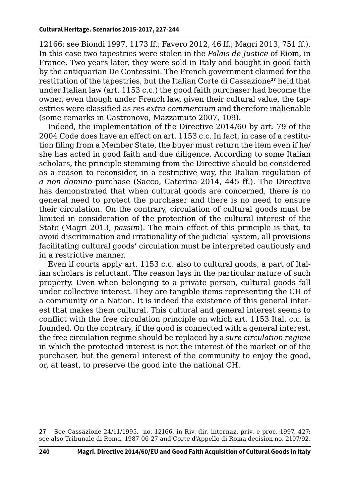12166; see Biondi 1997, 1173 ff.; Favero 2012, 46 ff.; Magri 2013, 751 ff.). In this case two tapestries were stolen in the *Palais de Justice* of Riom, in France. Two years later, they were sold in Italy and bought in good faith by the antiquarian De Contessini. The French government claimed for the restitution of the tapestries, but the Italian Corte di Cassazione**<sup>27</sup>** held that under Italian law (art. 1153 c.c.) the good faith purchaser had become the owner, even though under French law, given their cultural value, the tapestries were classified as *res extra commercium* and therefore inalienable (some remarks in Castronovo, Mazzamuto 2007, 109).

Indeed, the implementation of the Directive 2014/60 by art. 79 of the 2004 Code does have an effect on art. 1153 c.c. In fact, in case of a restitution filing from a Member State, the buyer must return the item even if he/ she has acted in good faith and due diligence. According to some Italian scholars, the principle stemming from the Directive should be considered as a reason to reconsider, in a restrictive way, the Italian regulation of *a non domino* purchase (Sacco, Caterina 2014, 445 ff.). The Directive has demonstrated that when cultural goods are concerned, there is no general need to protect the purchaser and there is no need to ensure their circulation. On the contrary, circulation of cultural goods must be limited in consideration of the protection of the cultural interest of the State (Magri 2013, *passim*). The main effect of this principle is that, to avoid discrimination and irrationality of the judicial system, all provisions facilitating cultural goods' circulation must be interpreted cautiously and in a restrictive manner.

Even if courts apply art. 1153 c.c. also to cultural goods, a part of Italian scholars is reluctant. The reason lays in the particular nature of such property. Even when belonging to a private person, cultural goods fall under collective interest. They are tangible items representing the CH of a community or a Nation. It is indeed the existence of this general interest that makes them cultural. This cultural and general interest seems to conflict with the free circulation principle on which art. 1153 Ital. c.c. is founded. On the contrary, if the good is connected with a general interest, the free circulation regime should be replaced by a *sure circulation regime* in which the protected interest is not the interest of the market or of the purchaser, but the general interest of the community to enjoy the good, or, at least, to preserve the good into the national CH.

**27** See Cassazione 24/11/1995, no. 12166, in Riv. dir. internaz. priv. e proc. 1997, 427; see also Tribunale di Roma, 1987-06-27 and Corte d'Appello di Roma decision no. 2107/92.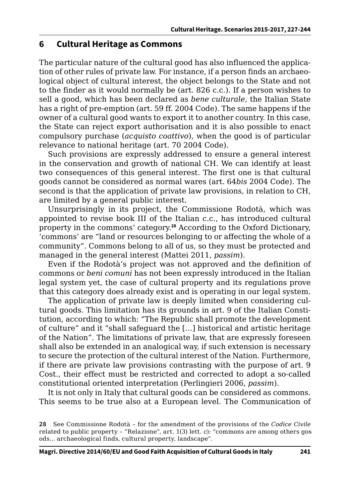#### **6 Cultural Heritage as Commons**

The particular nature of the cultural good has also influenced the application of other rules of private law. For instance, if a person finds an archaeological object of cultural interest, the object belongs to the State and not to the finder as it would normally be (art. 826 c.c.). If a person wishes to sell a good, which has been declared as *bene culturale*, the Italian State has a right of pre-emption (art. 59 ff. 2004 Code). The same happens if the owner of a cultural good wants to export it to another country. In this case, the State can reject export authorisation and it is also possible to enact compulsory purchase (*acquisto coattivo*), when the good is of particular relevance to national heritage (art. 70 2004 Code).

Such provisions are expressly addressed to ensure a general interest in the conservation and growth of national CH. We can identify at least two consequences of this general interest. The first one is that cultural goods cannot be considered as normal wares (art. 64*bis* 2004 Code). The second is that the application of private law provisions, in relation to CH, are limited by a general public interest.

Unsurprisingly in its project, the Commissione Rodotà, which was appointed to revise book III of the Italian c.c., has introduced cultural property in the commons' category.**<sup>28</sup>** According to the Oxford Dictionary, 'commons' are "land or resources belonging to or affecting the whole of a community". Commons belong to all of us, so they must be protected and managed in the general interest (Mattei 2011, *passim*).

Even if the Rodotà's project was not approved and the definition of commons or *beni comuni* has not been expressly introduced in the Italian legal system yet, the case of cultural property and its regulations prove that this category does already exist and is operating in our legal system.

The application of private law is deeply limited when considering cultural goods. This limitation has its grounds in art. 9 of the Italian Constitution, according to which: "The Republic shall promote the development of culture" and it "shall safeguard the […] historical and artistic heritage of the Nation". The limitations of private law, that are expressly foreseen shall also be extended in an analogical way, if such extension is necessary to secure the protection of the cultural interest of the Nation. Furthermore, if there are private law provisions contrasting with the purpose of art. 9 Cost., their effect must be restricted and corrected to adopt a so-called constitutional oriented interpretation (Perlingieri 2006, *passim*).

It is not only in Italy that cultural goods can be considered as commons. This seems to be true also at a European level. The Communication of

**<sup>28</sup>** See Commissione Rodotà – for the amendment of the provisions of the *Codice Civile*  related to public property - "Relazione", art. 1(3) lett. *c*): "commons are among others gos ods... archaeological finds, cultural property, landscape".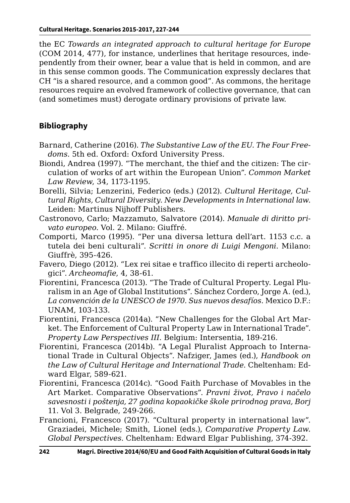the EC *Towards an integrated approach to cultural heritage for Europe*  (COM 2014, 477), for instance, underlines that heritage resources, independently from their owner, bear a value that is held in common, and are in this sense common goods. The Communication expressly declares that CH "is a shared resource, and a common good". As commons, the heritage resources require an evolved framework of collective governance, that can (and sometimes must) derogate ordinary provisions of private law.

## **Bibliography**

- Barnard, Catherine (2016). *The Substantive Law of the EU. The Four Freedoms*. 5th ed. Oxford: Oxford University Press.
- Biondi, Andrea (1997). "The merchant, the thief and the citizen: The circulation of works of art within the European Union". *Common Market Law Review*, 34, 1173-1195.
- Borelli, Silvia; Lenzerini, Federico (eds.) (2012). *Cultural Heritage, Cultural Rights, Cultural Diversity. New Developments in International law*. Leiden: Martinus Nijhoff Publishers.
- Castronovo, Carlo; Mazzamuto, Salvatore (2014). *Manuale di diritto privato europeo*. Vol. 2. Milano: Giuffré.
- Comporti, Marco (1995). "Per una diversa lettura dell'art. 1153 c.c. a tutela dei beni culturali". *Scritti in onore di Luigi Mengoni*. Milano: Giuffrè, 395-426.
- Favero, Diego (2012). "Lex rei sitae e traffico illecito di reperti archeologici". *Archeomafie*, 4, 38-61.
- Fiorentini, Francesca (2013). "The Trade of Cultural Property. Legal Pluralism in an Age of Global Institutions". Sánchez Cordero, Jorge A. (ed.), *La convención de la UNESCO de 1970. Sus nuevos desafíos*. Mexico D.F.: UNAM, 103-133.
- Fiorentini, Francesca (2014a). "New Challenges for the Global Art Market. The Enforcement of Cultural Property Law in International Trade". *Property Law Perspectives III*. Belgium: Intersentia, 189-216.
- Fiorentini, Francesca (2014b). "A Legal Pluralist Approach to International Trade in Cultural Objects". Nafziger, James (ed.), *Handbook on the Law of Cultural Heritage and International Trade*. Cheltenham: Edward Elgar, 589-621.
- Fiorentini, Francesca (2014c). "Good Faith Purchase of Movables in the Art Market. Comparative Observations". *Pravni život, Pravo i načelo savesnosti i poštenja, 27 godina kopaokičke škole prirodnog prava, Borj*  11. Vol 3. Belgrade, 249-266.
- Francioni, Francesco (2017). "Cultural property in international law". Graziadei, Michele; Smith, Lionel (eds.), *Comparative Property Law. Global Perspectives*. Cheltenham: Edward Elgar Publishing, 374-392.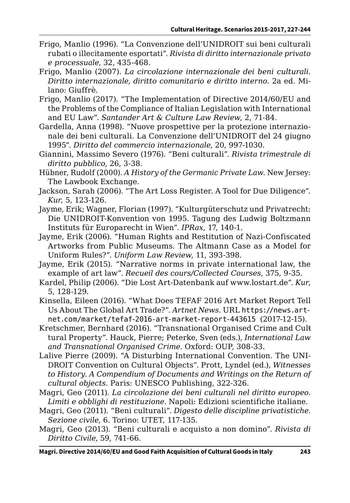- Frigo, Manlio (1996). "La Convenzione dell'UNIDROIT sui beni culturali rubati o illecitamente esportati". *Rivista di diritto internazionale privato e processuale*, 32, 435-468.
- Frigo, Manlio (2007). *La circolazione internazionale dei beni culturali. Diritto internazionale, diritto comunitario e diritto interno*. 2a ed. Milano: Giuffrè.
- Frigo, Manlio (2017). "The Implementation of Directive 2014/60/EU and the Problems of the Compliance of Italian Legislation with International and EU Law". *Santander Art & Culture Law Review*, 2, 71-84.
- Gardella, Anna (1998). "Nuove prospettive per la protezione internazionale dei beni culturali. La Convenzione dell'UNIDROIT del 24 giugno 1995". *Diritto del commercio internazionale*, 20, 997-1030.
- Giannini, Massimo Severo (1976). "Beni culturali". *Rivista trimestrale di diritto pubblico*, 26, 3-38.
- Hübner, Rudolf (2000). *A History of the Germanic Private Law*. New Jersey: The Lawbook Exchange.
- Jackson, Sarah (2006). "The Art Loss Register. A Tool for Due Diligence". *Kur*, 5, 123-126.
- Jayme, Erik; Wagner, Florian (1997). "Kulturgüterschutz und Privatrecht: Die UNIDROIT-Konvention von 1995. Tagung des Ludwig Boltzmann Instituts für Europarecht in Wien". *IPRax*, 17, 140-1.
- Jayme, Erik (2006). "Human Rights and Restitution of Nazi-Confiscated Artworks from Public Museums. The Altmann Case as a Model for Uniform Rules?". *Uniform Law Review*, 11, 393-398.
- Jayme, Erik (2015). "Narrative norms in private international law, the example of art law". *Recueil des cours/Collected Courses*, 375, 9-35.
- Kardel, Philip (2006). "Die Lost Art-Datenbank auf www.lostart.de". *Kur*, 5, 128-129.
- Kinsella, Eileen (2016). "What Does TEFAF 2016 Art Market Report Tell Us About The Global Art Trade?". *Artnet News*. URL [https://news.art](https://news.artnet.com/market/tefaf-2016-art-market-report-443615 )[net.com/market/tefaf-2016-art-market-report-443615](https://news.artnet.com/market/tefaf-2016-art-market-report-443615 ) (2017-12-15).
- Kretschmer, Bernhard (2016). "Transnational Organised Crime and Culttural Property". Hauck, Pierre; Peterke, Sven (eds.), *International Law and Transnational Organised Crime*. Oxford: OUP, 308-33.
- Lalive Pierre (2009). "A Disturbing International Convention. The UNI-DROIT Convention on Cultural Objects". Prott, Lyndel (ed.), *Witnesses to History. A Compendium of Documents and Writings on the Return of cultural objects*. Paris: UNESCO Publishing, 322-326.
- Magri, Geo (2011). *La circolazione dei beni culturali nel diritto europeo. Limiti e obblighi di restituzione*. Napoli: Edizioni scientifiche italiane.
- Magri, Geo (2011). "Beni culturali". *Digesto delle discipline privatistiche. Sezione civile*, 6. Torino: UTET, 117-135.
- Magri, Geo (2013). "Beni culturali e acquisto a non domino". *Rivista di Diritto Civile*, 59, 741-66.